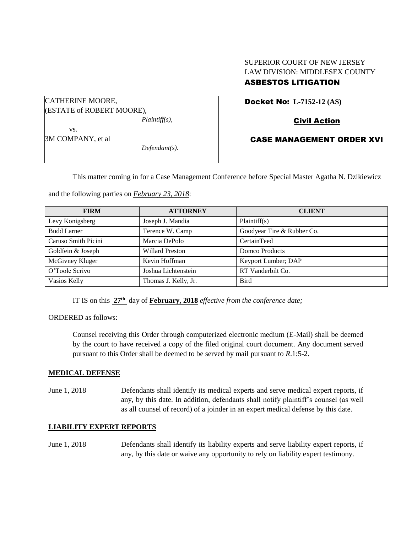# SUPERIOR COURT OF NEW JERSEY LAW DIVISION: MIDDLESEX COUNTY

# ASBESTOS LITIGATION

CATHERINE MOORE, (ESTATE of ROBERT MOORE), *Plaintiff(s),* vs.

3M COMPANY, et al

*Defendant(s).*

Docket No: **L-7152-12 (AS)** 

Civil Action

CASE MANAGEMENT ORDER XVI

This matter coming in for a Case Management Conference before Special Master Agatha N. Dzikiewicz

and the following parties on *February 23, 2018*:

| <b>FIRM</b>         | <b>ATTORNEY</b>        | <b>CLIENT</b>              |
|---------------------|------------------------|----------------------------|
| Levy Konigsberg     | Joseph J. Mandia       | Plaintiff(s)               |
| <b>Budd Larner</b>  | Terence W. Camp        | Goodyear Tire & Rubber Co. |
| Caruso Smith Picini | Marcia DePolo          | CertainTeed                |
| Goldfein & Joseph   | <b>Willard Preston</b> | Domco Products             |
| McGivney Kluger     | Kevin Hoffman          | Keyport Lumber; DAP        |
| O'Toole Scrivo      | Joshua Lichtenstein    | RT Vanderbilt Co.          |
| Vasios Kelly        | Thomas J. Kelly, Jr.   | <b>Bird</b>                |

IT IS on this  $27<sup>th</sup>$  day of **February, 2018** *effective from the conference date*;

ORDERED as follows:

Counsel receiving this Order through computerized electronic medium (E-Mail) shall be deemed by the court to have received a copy of the filed original court document. Any document served pursuant to this Order shall be deemed to be served by mail pursuant to *R*.1:5-2.

### **MEDICAL DEFENSE**

June 1, 2018 Defendants shall identify its medical experts and serve medical expert reports, if any, by this date. In addition, defendants shall notify plaintiff's counsel (as well as all counsel of record) of a joinder in an expert medical defense by this date.

## **LIABILITY EXPERT REPORTS**

June 1, 2018 Defendants shall identify its liability experts and serve liability expert reports, if any, by this date or waive any opportunity to rely on liability expert testimony.